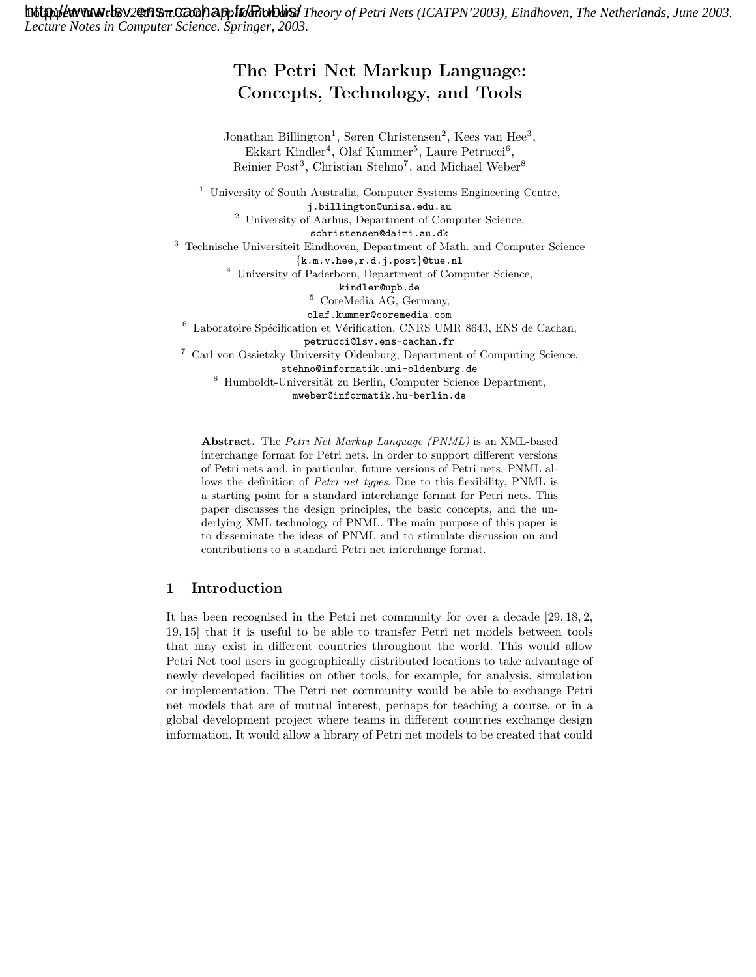**http://www.lsv2@ns+cachapti/Rivblis/** Theory of Petri Nets (ICATPN'2003), Eindhoven, The Netherlands, June 2003. *Lecture Notes in Computer Science. Springer, 2003.*

# The Petri Net Markup Language: Concepts, Technology, and Tools

Jonathan Billington<sup>1</sup>, Søren Christensen<sup>2</sup>, Kees van Hee<sup>3</sup>, Ekkart Kindler<sup>4</sup>, Olaf Kummer<sup>5</sup>, Laure Petrucci<sup>6</sup>, Reinier Post<sup>3</sup>, Christian Stehno<sup>7</sup>, and Michael Weber<sup>8</sup>

 $1$  University of South Australia, Computer Systems Engineering Centre, j.billington@unisa.edu.au <sup>2</sup> University of Aarhus, Department of Computer Science, schristensen@daimi.au.dk <sup>3</sup> Technische Universiteit Eindhoven, Department of Math. and Computer Science {k.m.v.hee,r.d.j.post}@tue.nl <sup>4</sup> University of Paderborn, Department of Computer Science, kindler@upb.de <sup>5</sup> CoreMedia AG, Germany, olaf.kummer@coremedia.com  $6$  Laboratoire Spécification et Vérification, CNRS UMR 8643, ENS de Cachan, petrucci@lsv.ens-cachan.fr <sup>7</sup> Carl von Ossietzky University Oldenburg, Department of Computing Science, stehno@informatik.uni-oldenburg.de <sup>8</sup> Humboldt-Universität zu Berlin, Computer Science Department, mweber@informatik.hu-berlin.de

Abstract. The Petri Net Markup Language (PNML) is an XML-based interchange format for Petri nets. In order to support different versions of Petri nets and, in particular, future versions of Petri nets, PNML allows the definition of Petri net types. Due to this flexibility, PNML is a starting point for a standard interchange format for Petri nets. This paper discusses the design principles, the basic concepts, and the underlying XML technology of PNML. The main purpose of this paper is to disseminate the ideas of PNML and to stimulate discussion on and contributions to a standard Petri net interchange format.

# 1 Introduction

It has been recognised in the Petri net community for over a decade [29, 18, 2, 19, 15] that it is useful to be able to transfer Petri net models between tools that may exist in different countries throughout the world. This would allow Petri Net tool users in geographically distributed locations to take advantage of newly developed facilities on other tools, for example, for analysis, simulation or implementation. The Petri net community would be able to exchange Petri net models that are of mutual interest, perhaps for teaching a course, or in a global development project where teams in different countries exchange design information. It would allow a library of Petri net models to be created that could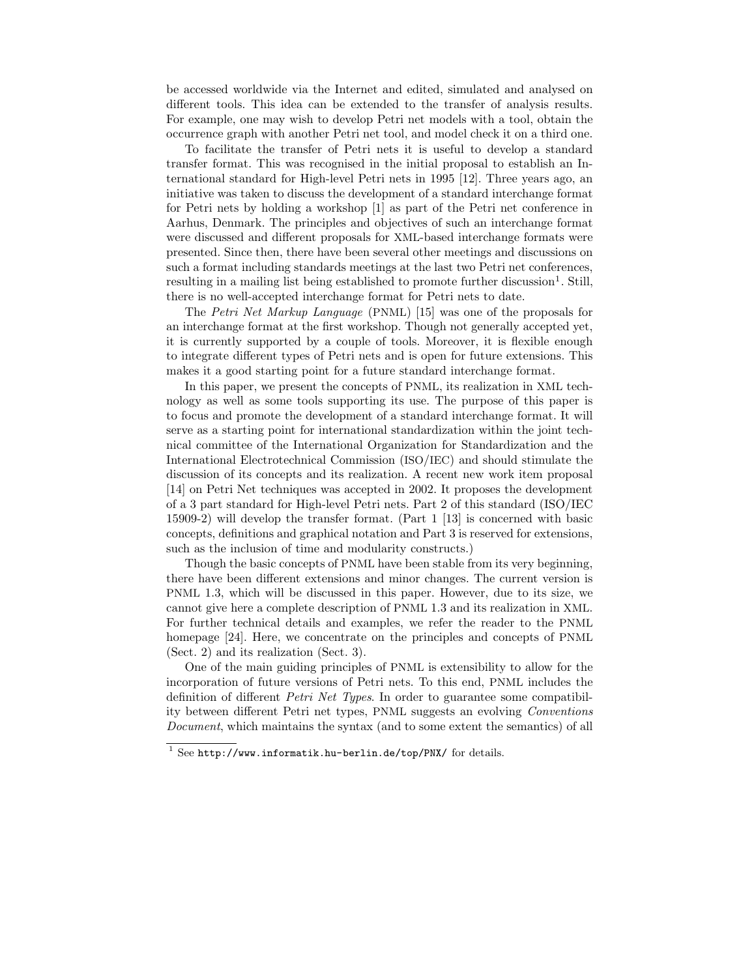be accessed worldwide via the Internet and edited, simulated and analysed on different tools. This idea can be extended to the transfer of analysis results. For example, one may wish to develop Petri net models with a tool, obtain the occurrence graph with another Petri net tool, and model check it on a third one.

To facilitate the transfer of Petri nets it is useful to develop a standard transfer format. This was recognised in the initial proposal to establish an International standard for High-level Petri nets in 1995 [12]. Three years ago, an initiative was taken to discuss the development of a standard interchange format for Petri nets by holding a workshop [1] as part of the Petri net conference in Aarhus, Denmark. The principles and objectives of such an interchange format were discussed and different proposals for XML-based interchange formats were presented. Since then, there have been several other meetings and discussions on such a format including standards meetings at the last two Petri net conferences, resulting in a mailing list being established to promote further discussion<sup>1</sup>. Still, there is no well-accepted interchange format for Petri nets to date.

The Petri Net Markup Language (PNML) [15] was one of the proposals for an interchange format at the first workshop. Though not generally accepted yet, it is currently supported by a couple of tools. Moreover, it is flexible enough to integrate different types of Petri nets and is open for future extensions. This makes it a good starting point for a future standard interchange format.

In this paper, we present the concepts of PNML, its realization in XML technology as well as some tools supporting its use. The purpose of this paper is to focus and promote the development of a standard interchange format. It will serve as a starting point for international standardization within the joint technical committee of the International Organization for Standardization and the International Electrotechnical Commission (ISO/IEC) and should stimulate the discussion of its concepts and its realization. A recent new work item proposal [14] on Petri Net techniques was accepted in 2002. It proposes the development of a 3 part standard for High-level Petri nets. Part 2 of this standard (ISO/IEC 15909-2) will develop the transfer format. (Part 1 [13] is concerned with basic concepts, definitions and graphical notation and Part 3 is reserved for extensions, such as the inclusion of time and modularity constructs.)

Though the basic concepts of PNML have been stable from its very beginning, there have been different extensions and minor changes. The current version is PNML 1.3, which will be discussed in this paper. However, due to its size, we cannot give here a complete description of PNML 1.3 and its realization in XML. For further technical details and examples, we refer the reader to the PNML homepage [24]. Here, we concentrate on the principles and concepts of PNML (Sect. 2) and its realization (Sect. 3).

One of the main guiding principles of PNML is extensibility to allow for the incorporation of future versions of Petri nets. To this end, PNML includes the definition of different Petri Net Types. In order to guarantee some compatibility between different Petri net types, PNML suggests an evolving Conventions Document, which maintains the syntax (and to some extent the semantics) of all

<sup>&</sup>lt;sup>1</sup> See http://www.informatik.hu-berlin.de/top/PNX/ for details.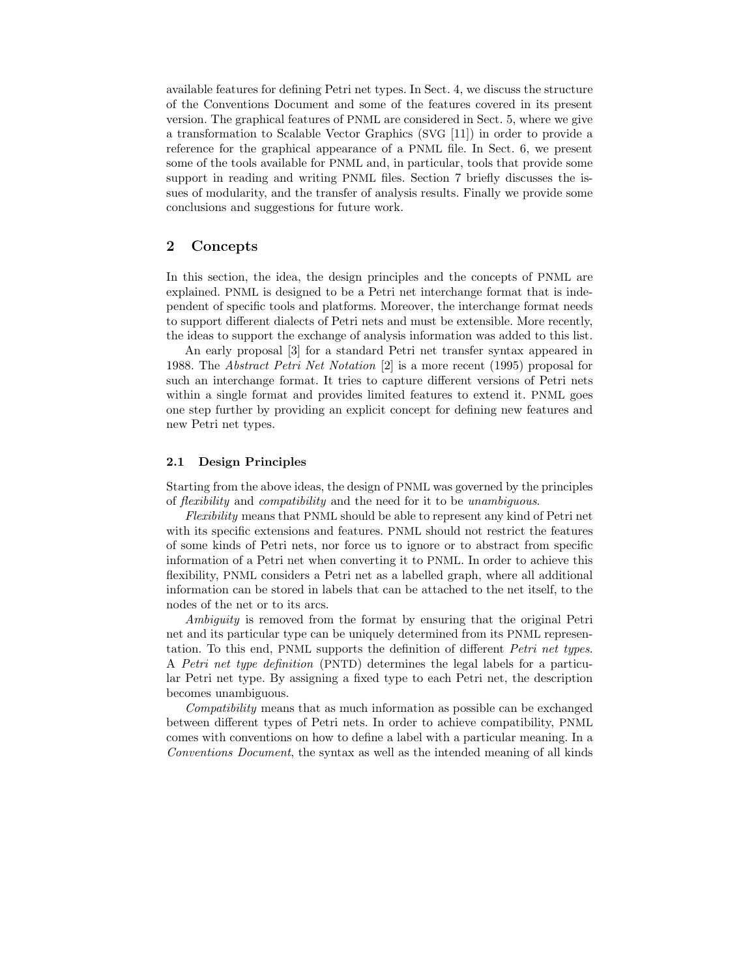available features for defining Petri net types. In Sect. 4, we discuss the structure of the Conventions Document and some of the features covered in its present version. The graphical features of PNML are considered in Sect. 5, where we give a transformation to Scalable Vector Graphics (SVG [11]) in order to provide a reference for the graphical appearance of a PNML file. In Sect. 6, we present some of the tools available for PNML and, in particular, tools that provide some support in reading and writing PNML files. Section 7 briefly discusses the issues of modularity, and the transfer of analysis results. Finally we provide some conclusions and suggestions for future work.

# 2 Concepts

In this section, the idea, the design principles and the concepts of PNML are explained. PNML is designed to be a Petri net interchange format that is independent of specific tools and platforms. Moreover, the interchange format needs to support different dialects of Petri nets and must be extensible. More recently, the ideas to support the exchange of analysis information was added to this list.

An early proposal [3] for a standard Petri net transfer syntax appeared in 1988. The Abstract Petri Net Notation [2] is a more recent (1995) proposal for such an interchange format. It tries to capture different versions of Petri nets within a single format and provides limited features to extend it. PNML goes one step further by providing an explicit concept for defining new features and new Petri net types.

## 2.1 Design Principles

Starting from the above ideas, the design of PNML was governed by the principles of flexibility and compatibility and the need for it to be unambiguous.

Flexibility means that PNML should be able to represent any kind of Petri net with its specific extensions and features. PNML should not restrict the features of some kinds of Petri nets, nor force us to ignore or to abstract from specific information of a Petri net when converting it to PNML. In order to achieve this flexibility, PNML considers a Petri net as a labelled graph, where all additional information can be stored in labels that can be attached to the net itself, to the nodes of the net or to its arcs.

Ambiguity is removed from the format by ensuring that the original Petri net and its particular type can be uniquely determined from its PNML representation. To this end, PNML supports the definition of different Petri net types. A Petri net type definition (PNTD) determines the legal labels for a particular Petri net type. By assigning a fixed type to each Petri net, the description becomes unambiguous.

Compatibility means that as much information as possible can be exchanged between different types of Petri nets. In order to achieve compatibility, PNML comes with conventions on how to define a label with a particular meaning. In a Conventions Document, the syntax as well as the intended meaning of all kinds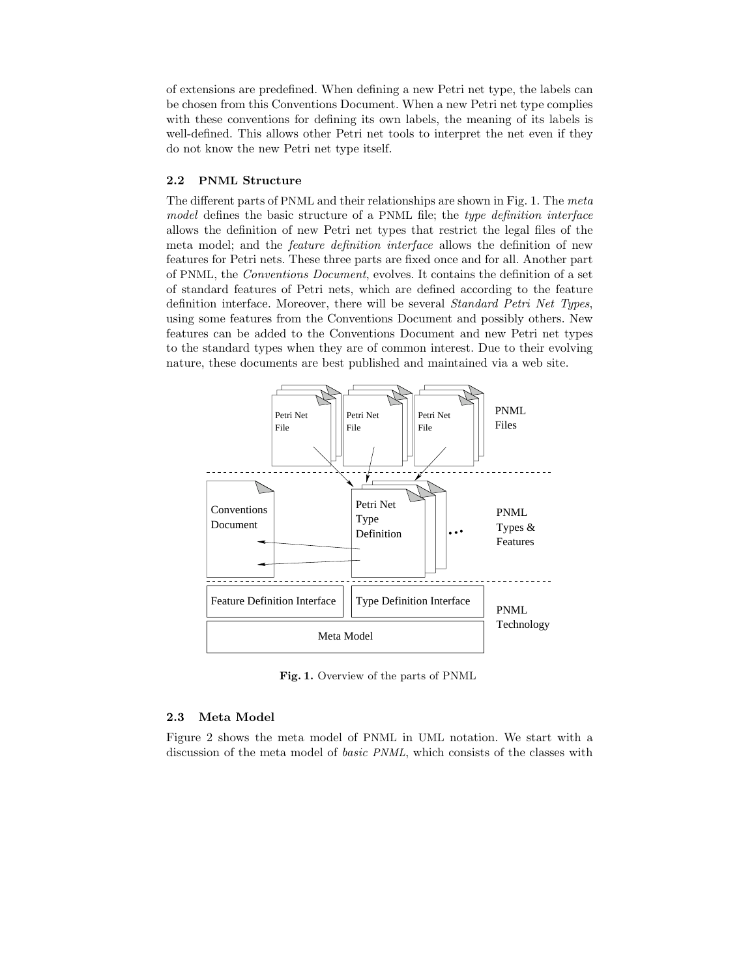of extensions are predefined. When defining a new Petri net type, the labels can be chosen from this Conventions Document. When a new Petri net type complies with these conventions for defining its own labels, the meaning of its labels is well-defined. This allows other Petri net tools to interpret the net even if they do not know the new Petri net type itself.

## 2.2 PNML Structure

The different parts of PNML and their relationships are shown in Fig. 1. The meta model defines the basic structure of a PNML file; the type definition interface allows the definition of new Petri net types that restrict the legal files of the meta model; and the *feature definition interface* allows the definition of new features for Petri nets. These three parts are fixed once and for all. Another part of PNML, the Conventions Document, evolves. It contains the definition of a set of standard features of Petri nets, which are defined according to the feature definition interface. Moreover, there will be several Standard Petri Net Types, using some features from the Conventions Document and possibly others. New features can be added to the Conventions Document and new Petri net types to the standard types when they are of common interest. Due to their evolving nature, these documents are best published and maintained via a web site.



Fig. 1. Overview of the parts of PNML

#### 2.3 Meta Model

Figure 2 shows the meta model of PNML in UML notation. We start with a discussion of the meta model of basic PNML, which consists of the classes with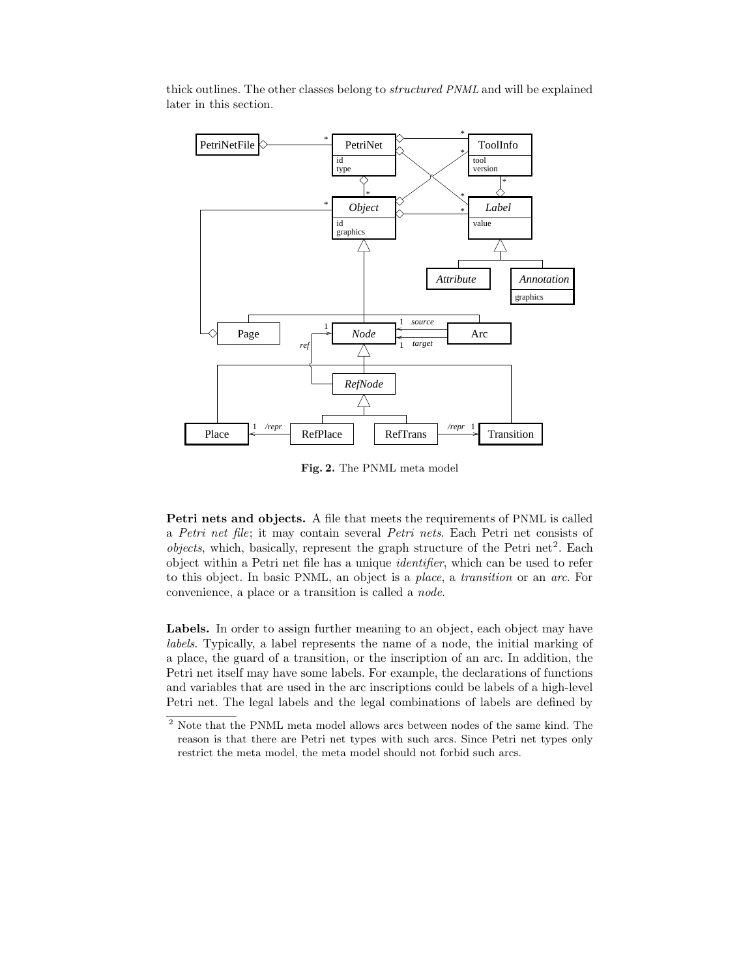

thick outlines. The other classes belong to structured PNML and will be explained later in this section.

Fig. 2. The PNML meta model

Petri nets and objects. A file that meets the requirements of PNML is called a Petri net file; it may contain several Petri nets. Each Petri net consists of  $objects$ , which, basically, represent the graph structure of the Petri net<sup>2</sup>. Each object within a Petri net file has a unique identifier, which can be used to refer to this object. In basic PNML, an object is a place, a transition or an arc. For convenience, a place or a transition is called a node.

Labels. In order to assign further meaning to an object, each object may have labels. Typically, a label represents the name of a node, the initial marking of a place, the guard of a transition, or the inscription of an arc. In addition, the Petri net itself may have some labels. For example, the declarations of functions and variables that are used in the arc inscriptions could be labels of a high-level Petri net. The legal labels and the legal combinations of labels are defined by

 $^2$  Note that the PNML meta model allows arcs between nodes of the same kind. The  $\,$ reason is that there are Petri net types with such arcs. Since Petri net types only restrict the meta model, the meta model should not forbid such arcs.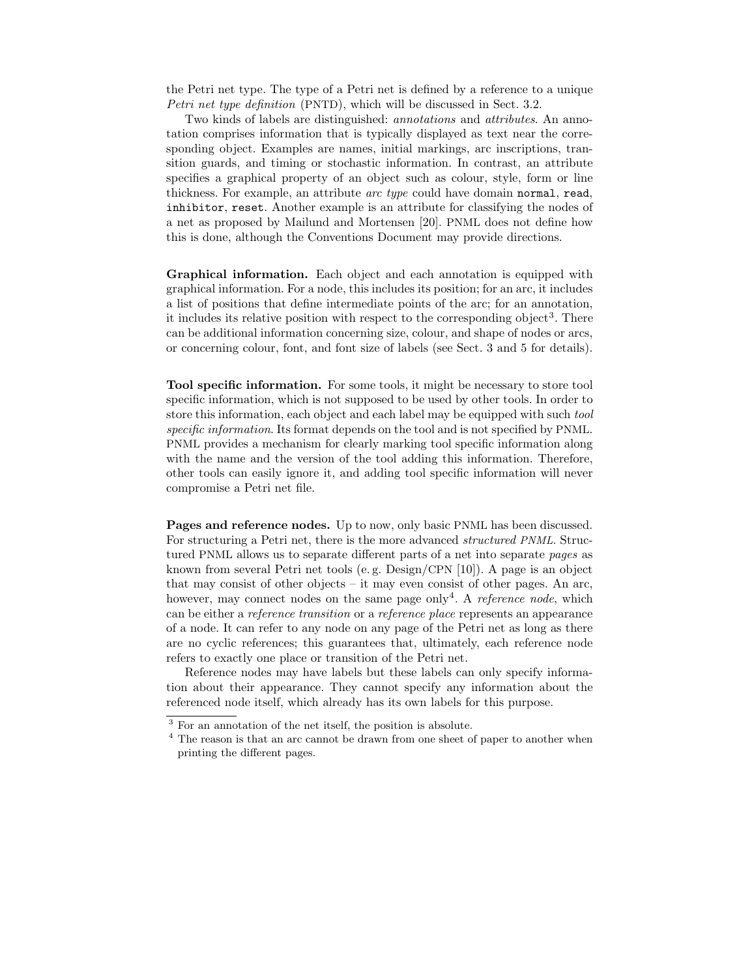the Petri net type. The type of a Petri net is defined by a reference to a unique Petri net type definition (PNTD), which will be discussed in Sect. 3.2.

Two kinds of labels are distinguished: annotations and attributes. An annotation comprises information that is typically displayed as text near the corresponding object. Examples are names, initial markings, arc inscriptions, transition guards, and timing or stochastic information. In contrast, an attribute specifies a graphical property of an object such as colour, style, form or line thickness. For example, an attribute arc type could have domain normal, read, inhibitor, reset. Another example is an attribute for classifying the nodes of a net as proposed by Mailund and Mortensen [20]. PNML does not define how this is done, although the Conventions Document may provide directions.

Graphical information. Each object and each annotation is equipped with graphical information. For a node, this includes its position; for an arc, it includes a list of positions that define intermediate points of the arc; for an annotation, it includes its relative position with respect to the corresponding object<sup>3</sup>. There can be additional information concerning size, colour, and shape of nodes or arcs, or concerning colour, font, and font size of labels (see Sect. 3 and 5 for details).

Tool specific information. For some tools, it might be necessary to store tool specific information, which is not supposed to be used by other tools. In order to store this information, each object and each label may be equipped with such tool specific information. Its format depends on the tool and is not specified by PNML. PNML provides a mechanism for clearly marking tool specific information along with the name and the version of the tool adding this information. Therefore, other tools can easily ignore it, and adding tool specific information will never compromise a Petri net file.

Pages and reference nodes. Up to now, only basic PNML has been discussed. For structuring a Petri net, there is the more advanced structured PNML. Structured PNML allows us to separate different parts of a net into separate pages as known from several Petri net tools (e. g. Design/CPN [10]). A page is an object that may consist of other objects – it may even consist of other pages. An arc, however, may connect nodes on the same page only<sup>4</sup>. A *reference node*, which can be either a reference transition or a reference place represents an appearance of a node. It can refer to any node on any page of the Petri net as long as there are no cyclic references; this guarantees that, ultimately, each reference node refers to exactly one place or transition of the Petri net.

Reference nodes may have labels but these labels can only specify information about their appearance. They cannot specify any information about the referenced node itself, which already has its own labels for this purpose.

<sup>3</sup> For an annotation of the net itself, the position is absolute.

 $^4$  The reason is that an arc cannot be drawn from one sheet of paper to another when printing the different pages.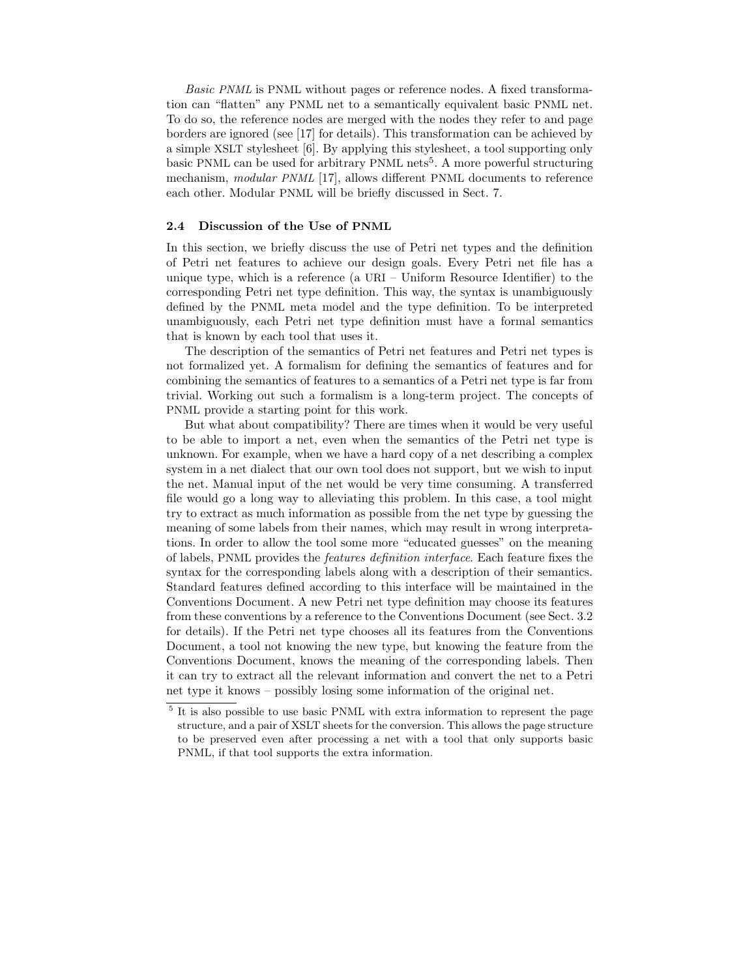Basic PNML is PNML without pages or reference nodes. A fixed transformation can "flatten" any PNML net to a semantically equivalent basic PNML net. To do so, the reference nodes are merged with the nodes they refer to and page borders are ignored (see [17] for details). This transformation can be achieved by a simple XSLT stylesheet [6]. By applying this stylesheet, a tool supporting only basic PNML can be used for arbitrary PNML nets<sup>5</sup>. A more powerful structuring mechanism, modular PNML [17], allows different PNML documents to reference each other. Modular PNML will be briefly discussed in Sect. 7.

## 2.4 Discussion of the Use of PNML

In this section, we briefly discuss the use of Petri net types and the definition of Petri net features to achieve our design goals. Every Petri net file has a unique type, which is a reference (a URI – Uniform Resource Identifier) to the corresponding Petri net type definition. This way, the syntax is unambiguously defined by the PNML meta model and the type definition. To be interpreted unambiguously, each Petri net type definition must have a formal semantics that is known by each tool that uses it.

The description of the semantics of Petri net features and Petri net types is not formalized yet. A formalism for defining the semantics of features and for combining the semantics of features to a semantics of a Petri net type is far from trivial. Working out such a formalism is a long-term project. The concepts of PNML provide a starting point for this work.

But what about compatibility? There are times when it would be very useful to be able to import a net, even when the semantics of the Petri net type is unknown. For example, when we have a hard copy of a net describing a complex system in a net dialect that our own tool does not support, but we wish to input the net. Manual input of the net would be very time consuming. A transferred file would go a long way to alleviating this problem. In this case, a tool might try to extract as much information as possible from the net type by guessing the meaning of some labels from their names, which may result in wrong interpretations. In order to allow the tool some more "educated guesses" on the meaning of labels, PNML provides the features definition interface. Each feature fixes the syntax for the corresponding labels along with a description of their semantics. Standard features defined according to this interface will be maintained in the Conventions Document. A new Petri net type definition may choose its features from these conventions by a reference to the Conventions Document (see Sect. 3.2 for details). If the Petri net type chooses all its features from the Conventions Document, a tool not knowing the new type, but knowing the feature from the Conventions Document, knows the meaning of the corresponding labels. Then it can try to extract all the relevant information and convert the net to a Petri net type it knows – possibly losing some information of the original net.

<sup>5</sup> It is also possible to use basic PNML with extra information to represent the page structure, and a pair of XSLT sheets for the conversion. This allows the page structure to be preserved even after processing a net with a tool that only supports basic PNML, if that tool supports the extra information.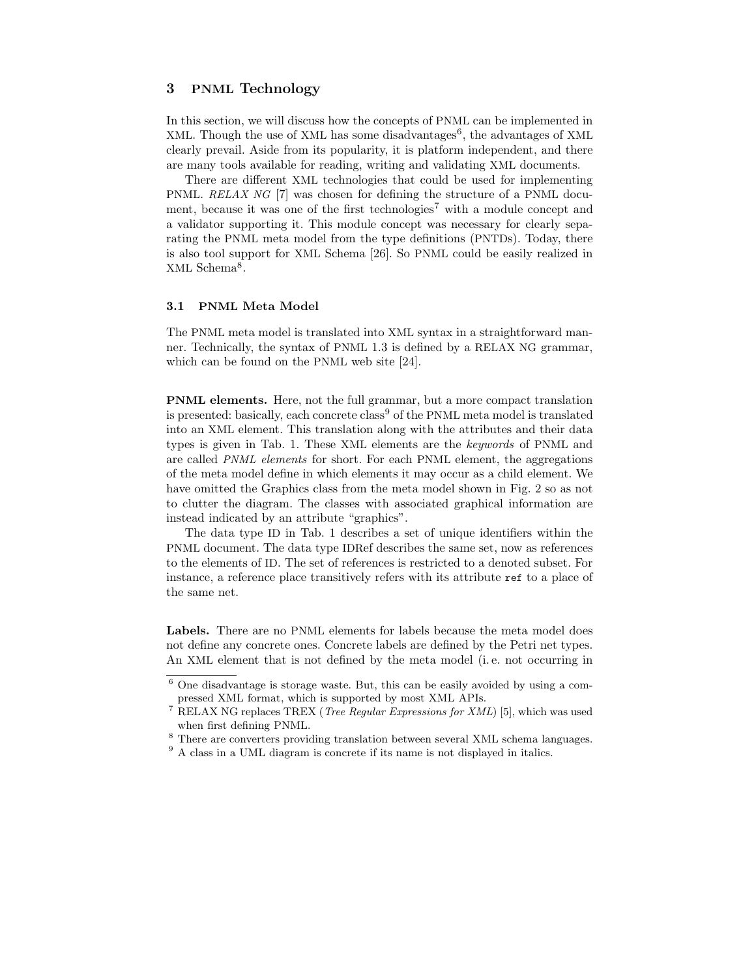# 3 PNML Technology

In this section, we will discuss how the concepts of PNML can be implemented in XML. Though the use of XML has some disadvantages<sup>6</sup>, the advantages of XML clearly prevail. Aside from its popularity, it is platform independent, and there are many tools available for reading, writing and validating XML documents.

There are different XML technologies that could be used for implementing PNML. RELAX NG [7] was chosen for defining the structure of a PNML document, because it was one of the first technologies<sup>7</sup> with a module concept and a validator supporting it. This module concept was necessary for clearly separating the PNML meta model from the type definitions (PNTDs). Today, there is also tool support for XML Schema [26]. So PNML could be easily realized in XML Schema<sup>8</sup>.

## 3.1 PNML Meta Model

The PNML meta model is translated into XML syntax in a straightforward manner. Technically, the syntax of PNML 1.3 is defined by a RELAX NG grammar, which can be found on the PNML web site [24].

PNML elements. Here, not the full grammar, but a more compact translation is presented: basically, each concrete class<sup>9</sup> of the PNML meta model is translated into an XML element. This translation along with the attributes and their data types is given in Tab. 1. These XML elements are the keywords of PNML and are called PNML elements for short. For each PNML element, the aggregations of the meta model define in which elements it may occur as a child element. We have omitted the Graphics class from the meta model shown in Fig. 2 so as not to clutter the diagram. The classes with associated graphical information are instead indicated by an attribute "graphics".

The data type ID in Tab. 1 describes a set of unique identifiers within the PNML document. The data type IDRef describes the same set, now as references to the elements of ID. The set of references is restricted to a denoted subset. For instance, a reference place transitively refers with its attribute ref to a place of the same net.

Labels. There are no PNML elements for labels because the meta model does not define any concrete ones. Concrete labels are defined by the Petri net types. An XML element that is not defined by the meta model (i. e. not occurring in

<sup>6</sup> One disadvantage is storage waste. But, this can be easily avoided by using a compressed XML format, which is supported by most XML APIs.

<sup>&</sup>lt;sup>7</sup> RELAX NG replaces TREX (*Tree Regular Expressions for XML*) [5], which was used when first defining PNML.

 $^8$  There are converters providing translation between several XML schema languages.

<sup>&</sup>lt;sup>9</sup> A class in a UML diagram is concrete if its name is not displayed in italics.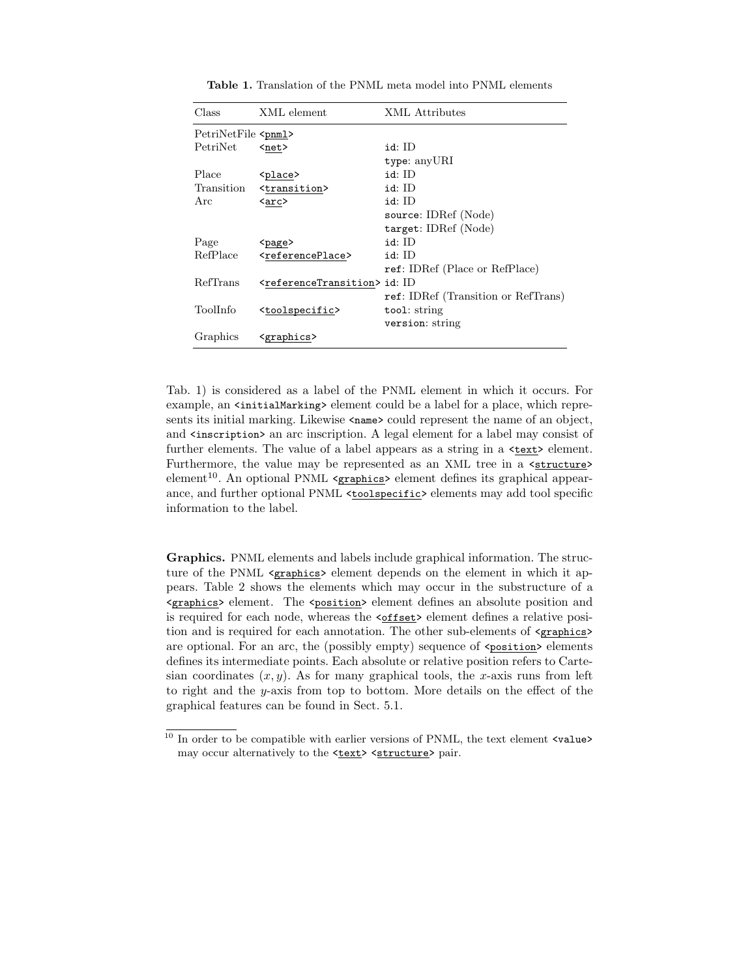| Class                      | XML element                          | <b>XML</b> Attributes               |  |  |  |
|----------------------------|--------------------------------------|-------------------------------------|--|--|--|
| PetriNetFile <pnml></pnml> |                                      |                                     |  |  |  |
| PetriNet                   | $net$                                | id: ID                              |  |  |  |
|                            |                                      | type: anyURI                        |  |  |  |
| Place                      | <place></place>                      | id: ID                              |  |  |  |
| Transition                 | <transition></transition>            | id: ID                              |  |  |  |
| Arc                        | <arc></arc>                          | id: ID                              |  |  |  |
|                            |                                      | source: IDRef (Node)                |  |  |  |
|                            |                                      | target: IDRef (Node)                |  |  |  |
| Page                       | <page></page>                        | id: ID                              |  |  |  |
| RefPlace                   | <referenceplace></referenceplace>    | id: ID                              |  |  |  |
|                            |                                      | ref: IDRef (Place or RefPlace)      |  |  |  |
| RefTrans                   | $\verb `referenceTransition `id: ID$ |                                     |  |  |  |
|                            |                                      | ref: IDRef (Transition or RefTrans) |  |  |  |
| ToolInfo                   | <toolspecific></toolspecific>        | tool: string                        |  |  |  |
|                            |                                      | version: string                     |  |  |  |
| Graphics                   | <graphics></graphics>                |                                     |  |  |  |

Table 1. Translation of the PNML meta model into PNML elements

Tab. 1) is considered as a label of the PNML element in which it occurs. For example, an <initialMarking> element could be a label for a place, which represents its initial marking. Likewise  $\langle$ name> could represent the name of an object, and <inscription> an arc inscription. A legal element for a label may consist of further elements. The value of a label appears as a string in a  $\text{text}$  element. Furthermore, the value may be represented as an XML tree in a  $\langle$ structure $\rangle$ element<sup>10</sup>. An optional PNML <**graphics**> element defines its graphical appearance, and further optional PNML <toolspecific> elements may add tool specific information to the label.

Graphics. PNML elements and labels include graphical information. The structure of the PNML  $\langle$ graphics> element depends on the element in which it appears. Table 2 shows the elements which may occur in the substructure of a  $\langle$ graphics> element. The  $\langle$ position> element defines an absolute position and is required for each node, whereas the  $\leq$  of fset> element defines a relative position and is required for each annotation. The other sub-elements of  $\langle$ graphics> are optional. For an arc, the (possibly empty) sequence of  $\epsilon_{position}$  elements defines its intermediate points. Each absolute or relative position refers to Cartesian coordinates  $(x, y)$ . As for many graphical tools, the x-axis runs from left to right and the y-axis from top to bottom. More details on the effect of the graphical features can be found in Sect. 5.1.

 $^{10}$  In order to be compatible with earlier versions of PNML, the text element  $\verb|>|$ may occur alternatively to the <text> <structure> pair.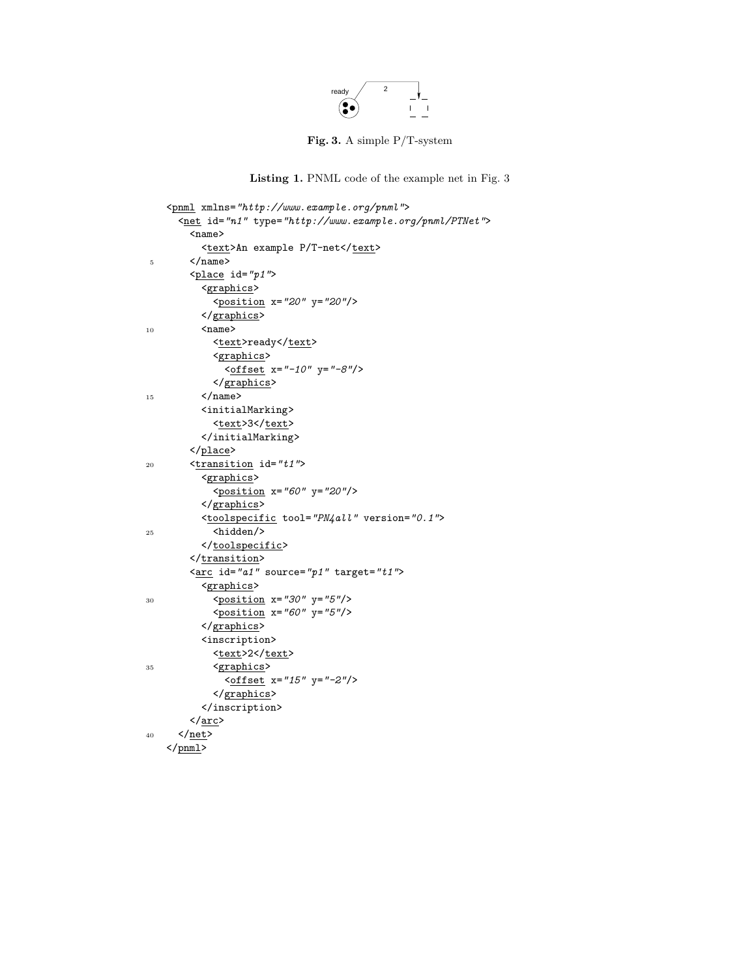

Fig. 3. A simple P/T-system

Listing 1. PNML code of the example net in Fig. 3

```
\leq_{\texttt{pmnl\_xmlns}}="http://www.example.org/pnml">
       <net id="n1" type="http://www.example.org/pnml/PTNet">
         <name>
            <text>An example P/T-net</text>
5 \langle /name \rangle\leqplace id="p1">
            <graphics>
              <position x="20" y="20"/>
            </graphics>
10 <name>
              <text>ready</text>
              <graphics>
                 \text{coffset} x="-10" y="-8"/>
              </graphics>
15 </name>
            <initialMarking>
              <text>3</text>
            </initialMarking>
         \langle/place>
20 \leq \frac{t \cdot \sin(\sin(\pi t))}{t \cdot t} id="t1">
            <graphics>
              \frac{1}{20} <position x="60" y="20"/>
            </graphics>
            <toolspecific tool="PN4all" version="0.1">
25 <hidden/>
            </toolspecific>
         </transition>
         \langle \text{arc} \text{ id} = "a1" \text{ source} = "p1" \text{ target} = "t1" \rangle<graphics>
30 <position x="30" y="5"/>
              <sub>position</sub> x="60" y="5"/></sub>
            </graphics>
            <inscription>
              <text>2</text>
35 <graphics>
                 \text{coffset } x = \text{"15" y} = \text{"-2"'}</graphics>
            </inscription>
         \langle /arc \rangle40 \frac{\text{20}}{\text{10}}\langle/pnml\rangle
```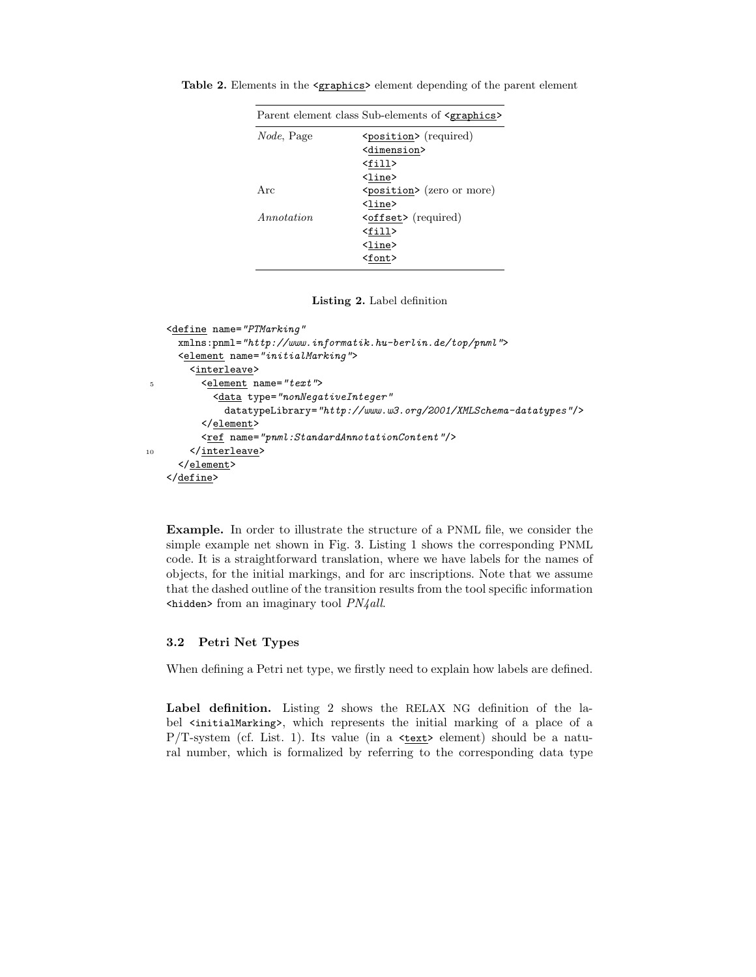| Parent element class Sub-elements of <graphics></graphics> |                                  |  |
|------------------------------------------------------------|----------------------------------|--|
| <i>Node</i> , Page                                         | <position> (required)</position> |  |
|                                                            | <dimension></dimension>          |  |
|                                                            | $fill$                           |  |
|                                                            | $\langle$ line $\rangle$         |  |
| Arc                                                        | $<$ position> (zero or more)     |  |
|                                                            | $\langle$ line $\rangle$         |  |
| Annotation                                                 | $\leq$ offset> (required)        |  |
|                                                            | <fill></fill>                    |  |
|                                                            | $\langle$ line $\rangle$         |  |
|                                                            | <font></font>                    |  |

Table 2. Elements in the <graphics> element depending of the parent element

Listing 2. Label definition

```
<define name="PTMarking"
       xmlns:pnml="http://www.informatik.hu-berlin.de/top/pnml">
        <element name="initialMarking">
           <interleave>
5 \leq \leq \leq \leq \leq \leq \leq \leq \leq \leq \leq \leq \leq \leq \leq \leq \leq \leq \leq \leq \leq \leq \leq \leq \leq \leq \leq \leq \leq \leq \leq \leq \leq \leq \leq \leq <data type="nonNegativeInteger"
                   datatypeLibrary="http://www.w3.org/2001/XMLSchema-datatypes"/>
              </element>
              \leq_{\text{ref}} name="pnml:StandardAnnotationContent"/>
10 </interleave>
        </element>
     </define>
```
Example. In order to illustrate the structure of a PNML file, we consider the simple example net shown in Fig. 3. Listing 1 shows the corresponding PNML code. It is a straightforward translation, where we have labels for the names of objects, for the initial markings, and for arc inscriptions. Note that we assume that the dashed outline of the transition results from the tool specific information  $\lambda$ hidden> from an imaginary tool  $PN\$ all.

## 3.2 Petri Net Types

When defining a Petri net type, we firstly need to explain how labels are defined.

Label definition. Listing 2 shows the RELAX NG definition of the label  $\sin\theta$  initial Marking >, which represents the initial marking of a place of a  $P/T$ -system (cf. List. 1). Its value (in a  $\text{text}$  element) should be a natural number, which is formalized by referring to the corresponding data type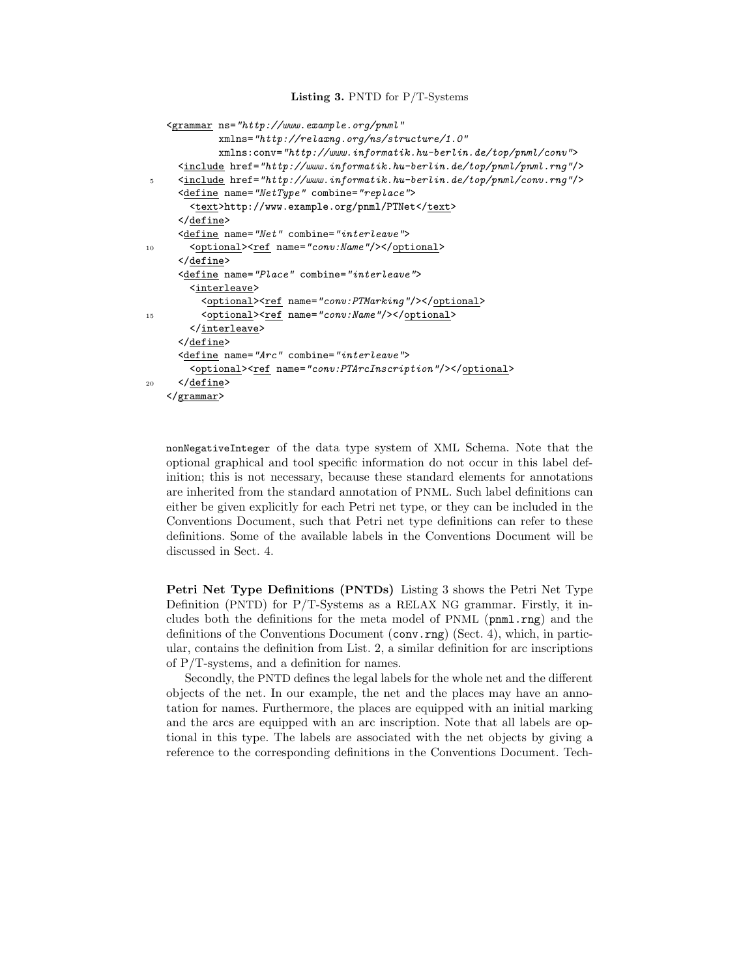Listing 3. PNTD for P/T-Systems

```
<grammar ns="http://www.example.org/pnml"
            xmlns="http://relaxng.org/ns/structure/1.0"
            xmlns:conv="http://www.informatik.hu-berlin.de/top/pnml/conv">
     \{include href="http://www.informatik.hu-berlin.de/top/pnml/pnml.rnq"/>
5 \leq include href="http://www.informatik.hu-berlin.de/top/pnml/conv.rnq"/>
     <define name="NetType" combine="replace">
       <text>http://www.example.org/pnml/PTNet</text>
     </define>
     <define name="Net" combine="interleave">
10 <optional><ref name="conv:Name"/></optional>
     </define>
     <define name="Place" combine="interleave">
       <interleave>
         <optional><ref name="conv:PTMarking"/></optional>
15 <optional><ref name="conv:Name"/></optional>
       </interleave>
     </define>
     <define name="Arc" combine="interleave">
       <optional><ref name="conv:PTArcInscription"/></optional>
_{20} </<u>defin</u>e>
   </grammar>
```
nonNegativeInteger of the data type system of XML Schema. Note that the optional graphical and tool specific information do not occur in this label definition; this is not necessary, because these standard elements for annotations are inherited from the standard annotation of PNML. Such label definitions can either be given explicitly for each Petri net type, or they can be included in the Conventions Document, such that Petri net type definitions can refer to these definitions. Some of the available labels in the Conventions Document will be discussed in Sect. 4.

Petri Net Type Definitions (PNTDs) Listing 3 shows the Petri Net Type Definition (PNTD) for P/T-Systems as a RELAX NG grammar. Firstly, it includes both the definitions for the meta model of PNML (pnml.rng) and the definitions of the Conventions Document (conv.rng) (Sect. 4), which, in particular, contains the definition from List. 2, a similar definition for arc inscriptions of P/T-systems, and a definition for names.

Secondly, the PNTD defines the legal labels for the whole net and the different objects of the net. In our example, the net and the places may have an annotation for names. Furthermore, the places are equipped with an initial marking and the arcs are equipped with an arc inscription. Note that all labels are optional in this type. The labels are associated with the net objects by giving a reference to the corresponding definitions in the Conventions Document. Tech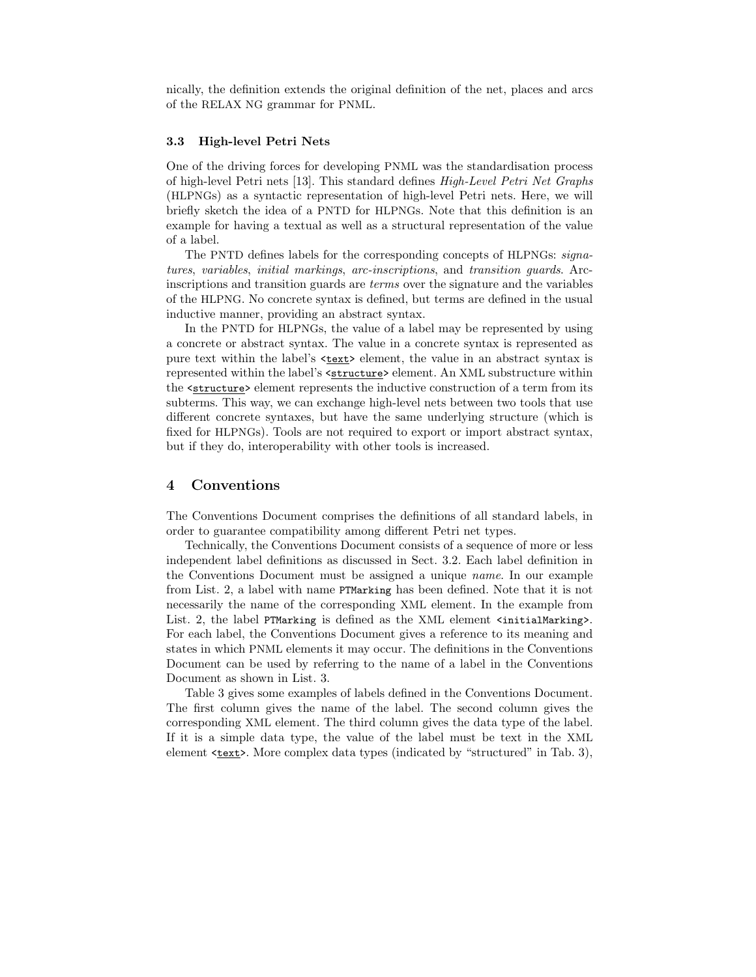nically, the definition extends the original definition of the net, places and arcs of the RELAX NG grammar for PNML.

#### 3.3 High-level Petri Nets

One of the driving forces for developing PNML was the standardisation process of high-level Petri nets [13]. This standard defines High-Level Petri Net Graphs (HLPNGs) as a syntactic representation of high-level Petri nets. Here, we will briefly sketch the idea of a PNTD for HLPNGs. Note that this definition is an example for having a textual as well as a structural representation of the value of a label.

The PNTD defines labels for the corresponding concepts of HLPNGs: signatures, variables, initial markings, arc-inscriptions, and transition guards. Arcinscriptions and transition guards are terms over the signature and the variables of the HLPNG. No concrete syntax is defined, but terms are defined in the usual inductive manner, providing an abstract syntax.

In the PNTD for HLPNGs, the value of a label may be represented by using a concrete or abstract syntax. The value in a concrete syntax is represented as pure text within the label's <text> element, the value in an abstract syntax is represented within the label's <structure> element. An XML substructure within the <structure> element represents the inductive construction of a term from its subterms. This way, we can exchange high-level nets between two tools that use different concrete syntaxes, but have the same underlying structure (which is fixed for HLPNGs). Tools are not required to export or import abstract syntax, but if they do, interoperability with other tools is increased.

# 4 Conventions

The Conventions Document comprises the definitions of all standard labels, in order to guarantee compatibility among different Petri net types.

Technically, the Conventions Document consists of a sequence of more or less independent label definitions as discussed in Sect. 3.2. Each label definition in the Conventions Document must be assigned a unique name. In our example from List. 2, a label with name PTMarking has been defined. Note that it is not necessarily the name of the corresponding XML element. In the example from List. 2, the label PTMarking is defined as the XML element  $\langle$ initialMarking>. For each label, the Conventions Document gives a reference to its meaning and states in which PNML elements it may occur. The definitions in the Conventions Document can be used by referring to the name of a label in the Conventions Document as shown in List. 3.

Table 3 gives some examples of labels defined in the Conventions Document. The first column gives the name of the label. The second column gives the corresponding XML element. The third column gives the data type of the label. If it is a simple data type, the value of the label must be text in the XML element <text>. More complex data types (indicated by "structured" in Tab. 3),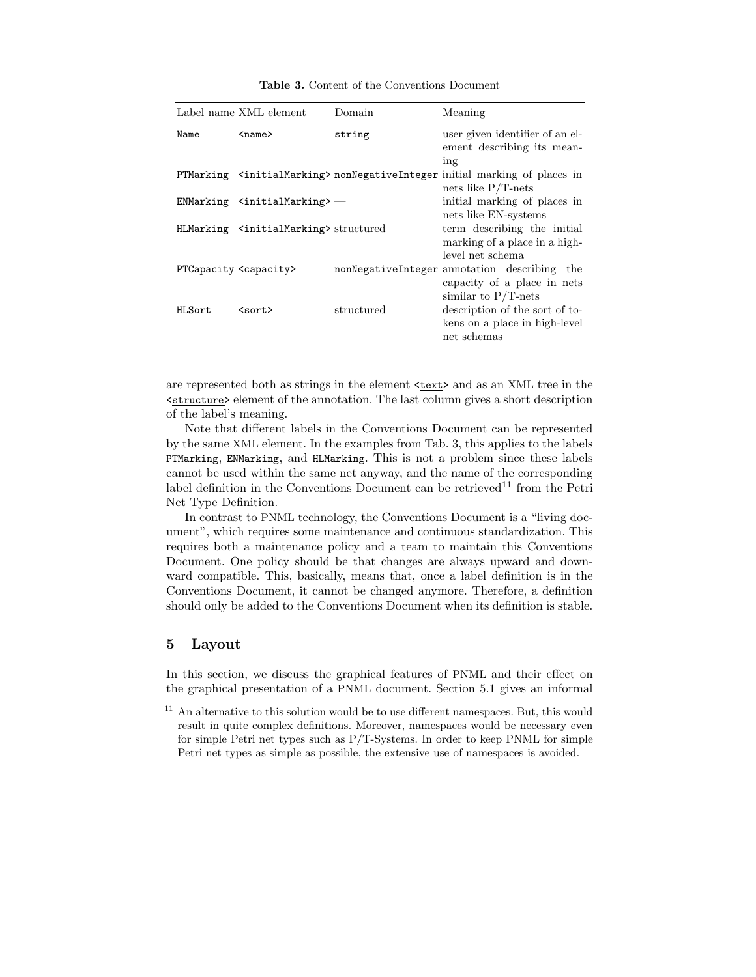| <b>Table 3.</b> Content of the Conventions Document |
|-----------------------------------------------------|
|                                                     |

|        | Label name XML element                                 | Domain                                                         | Meaning                                                                                               |
|--------|--------------------------------------------------------|----------------------------------------------------------------|-------------------------------------------------------------------------------------------------------|
| Name   | $name$                                                 | string                                                         | user given identifier of an el-<br>ement describing its mean-<br>ing                                  |
|        |                                                        | PTMarking <initialmarking> nonNegativeInteger</initialmarking> | initial marking of places in<br>nets like $P/T$ -nets                                                 |
|        | $EMMarking$ $\leq$ initialMarking> —                   |                                                                | initial marking of places in<br>nets like EN-systems                                                  |
|        | HLMarking <initialmarking> structured</initialmarking> |                                                                | term describing the initial<br>marking of a place in a high-<br>level net schema                      |
|        | PTCapacity <capacity></capacity>                       |                                                                | nonNegativeInteger annotation describing the<br>capacity of a place in nets<br>similar to $P/T$ -nets |
| HLSort | $<$ sort $>$                                           | structured                                                     | description of the sort of to-<br>kens on a place in high-level<br>net schemas                        |

are represented both as strings in the element  $\langle \texttt{text} \rangle$  and as an XML tree in the <structure> element of the annotation. The last column gives a short description of the label's meaning.

Note that different labels in the Conventions Document can be represented by the same XML element. In the examples from Tab. 3, this applies to the labels PTMarking, ENMarking, and HLMarking. This is not a problem since these labels cannot be used within the same net anyway, and the name of the corresponding label definition in the Conventions Document can be retrieved<sup>11</sup> from the Petri Net Type Definition.

In contrast to PNML technology, the Conventions Document is a "living document", which requires some maintenance and continuous standardization. This requires both a maintenance policy and a team to maintain this Conventions Document. One policy should be that changes are always upward and downward compatible. This, basically, means that, once a label definition is in the Conventions Document, it cannot be changed anymore. Therefore, a definition should only be added to the Conventions Document when its definition is stable.

# 5 Layout

In this section, we discuss the graphical features of PNML and their effect on the graphical presentation of a PNML document. Section 5.1 gives an informal

 $\frac{11}{11}$  An alternative to this solution would be to use different namespaces. But, this would result in quite complex definitions. Moreover, namespaces would be necessary even for simple Petri net types such as P/T-Systems. In order to keep PNML for simple Petri net types as simple as possible, the extensive use of namespaces is avoided.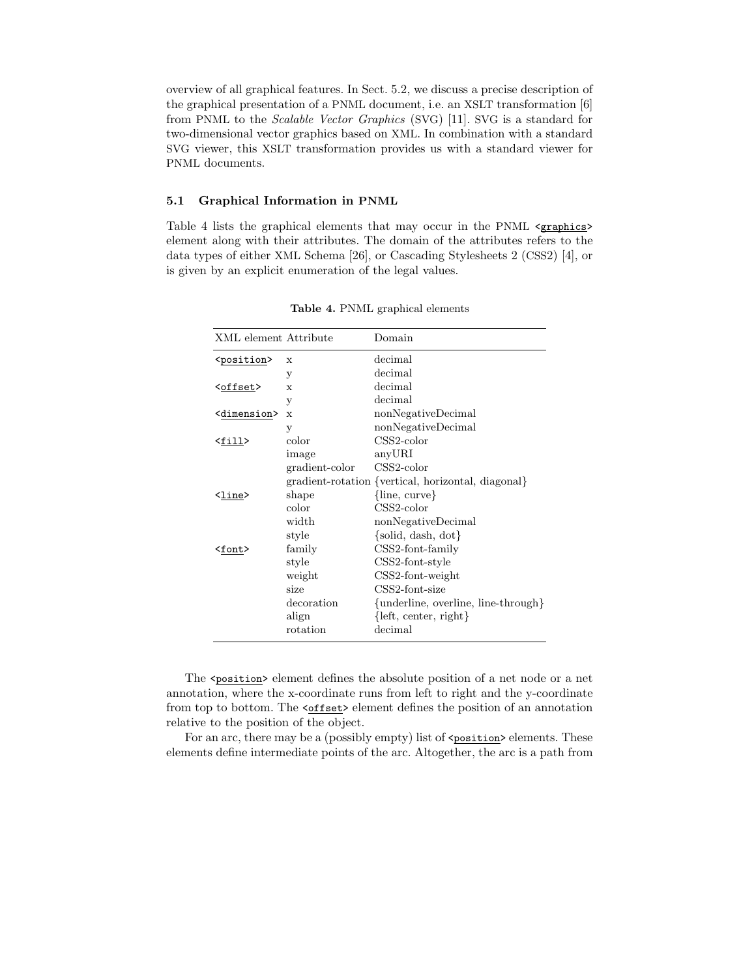overview of all graphical features. In Sect. 5.2, we discuss a precise description of the graphical presentation of a PNML document, i.e. an XSLT transformation [6] from PNML to the Scalable Vector Graphics (SVG) [11]. SVG is a standard for two-dimensional vector graphics based on XML. In combination with a standard SVG viewer, this XSLT transformation provides us with a standard viewer for PNML documents.

## 5.1 Graphical Information in PNML

Table 4 lists the graphical elements that may occur in the PNML <graphics> element along with their attributes. The domain of the attributes refers to the data types of either XML Schema [26], or Cascading Stylesheets 2 (CSS2) [4], or is given by an explicit enumeration of the legal values.

| XML element Attribute   |                | Domain                                             |
|-------------------------|----------------|----------------------------------------------------|
| <position></position>   | X              | decimal                                            |
|                         | У              | decimal                                            |
| <offset></offset>       | $\mathbf x$    | decimal                                            |
|                         | y              | decimal                                            |
| <dimension></dimension> | X              | nonNegativeDecimal                                 |
|                         | У              | nonNegativeDecimal                                 |
| <fill></fill>           | color          | $CSS2$ -color                                      |
|                         | image          | anyURI                                             |
|                         | gradient-color | $CSS2$ -color                                      |
|                         |                | gradient-rotation {vertical, horizontal, diagonal} |
| <line></line>           | shape          | ${line, curve}$                                    |
|                         | color          | CSS2-color                                         |
|                         | width          | nonNegativeDecimal                                 |
|                         | style          | $\{ solid, dash, dot\}$                            |
| <font></font>           | family         | CSS2-font-family                                   |
|                         | style          | CSS2-font-style                                    |
|                         | weight         | $\text{CSS2-font-weight}$                          |
|                         | size           | CSS2-font-size                                     |
|                         | decoration     | {underline, overline, line-through}                |
|                         | align          | $\{left, center, right\}$                          |
|                         | rotation       | decimal                                            |

Table 4. PNML graphical elements

The <position> element defines the absolute position of a net node or a net annotation, where the x-coordinate runs from left to right and the y-coordinate from top to bottom. The <offset> element defines the position of an annotation relative to the position of the object.

For an arc, there may be a (possibly empty) list of  $\epsilon$  position > elements. These elements define intermediate points of the arc. Altogether, the arc is a path from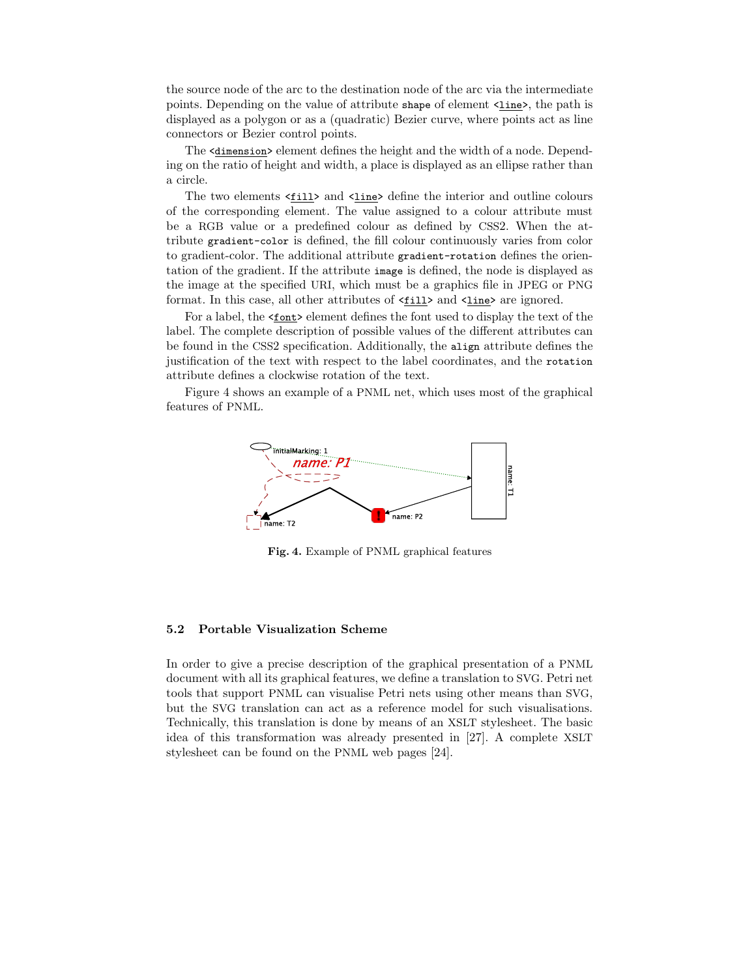the source node of the arc to the destination node of the arc via the intermediate points. Depending on the value of attribute shape of element <line>, the path is displayed as a polygon or as a (quadratic) Bezier curve, where points act as line connectors or Bezier control points.

The <dimension> element defines the height and the width of a node. Depending on the ratio of height and width, a place is displayed as an ellipse rather than a circle.

The two elements  $\le$  fill> and  $\le$  line> define the interior and outline colours of the corresponding element. The value assigned to a colour attribute must be a RGB value or a predefined colour as defined by CSS2. When the attribute gradient-color is defined, the fill colour continuously varies from color to gradient-color. The additional attribute gradient-rotation defines the orientation of the gradient. If the attribute image is defined, the node is displayed as the image at the specified URI, which must be a graphics file in JPEG or PNG format. In this case, all other attributes of  $\text{If all }$  and  $\text{Line}$  are ignored.

For a label, the  $\epsilon$  font below element defines the font used to display the text of the label. The complete description of possible values of the different attributes can be found in the CSS2 specification. Additionally, the align attribute defines the justification of the text with respect to the label coordinates, and the rotation attribute defines a clockwise rotation of the text.

Figure 4 shows an example of a PNML net, which uses most of the graphical features of PNML.



Fig. 4. Example of PNML graphical features

## 5.2 Portable Visualization Scheme

In order to give a precise description of the graphical presentation of a PNML document with all its graphical features, we define a translation to SVG. Petri net tools that support PNML can visualise Petri nets using other means than SVG, but the SVG translation can act as a reference model for such visualisations. Technically, this translation is done by means of an XSLT stylesheet. The basic idea of this transformation was already presented in [27]. A complete XSLT stylesheet can be found on the PNML web pages [24].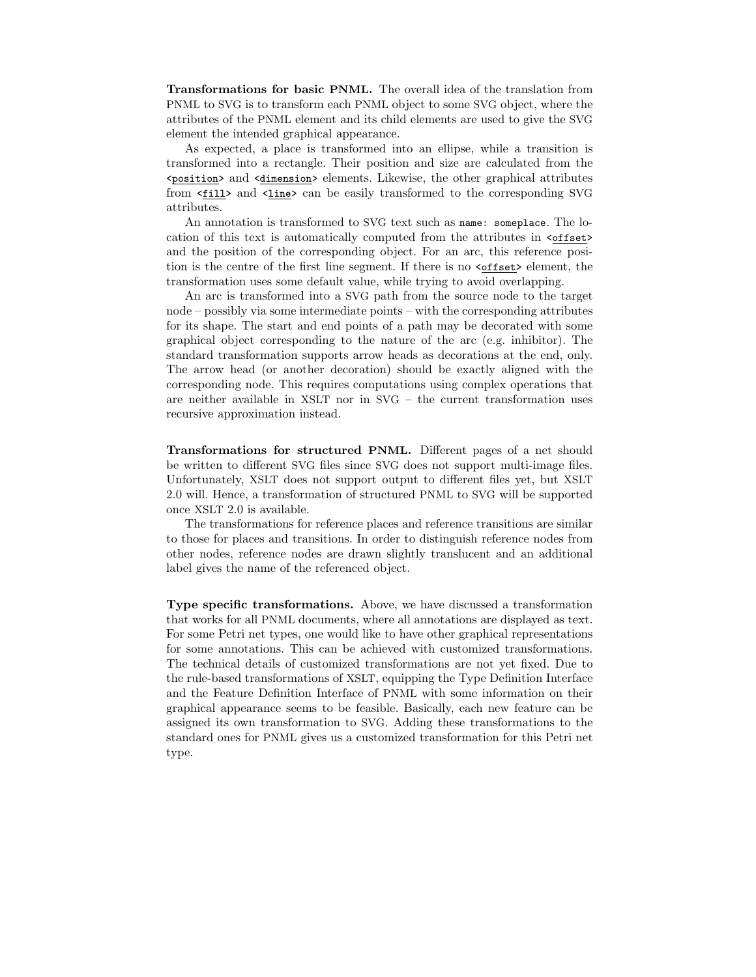Transformations for basic PNML. The overall idea of the translation from PNML to SVG is to transform each PNML object to some SVG object, where the attributes of the PNML element and its child elements are used to give the SVG element the intended graphical appearance.

As expected, a place is transformed into an ellipse, while a transition is transformed into a rectangle. Their position and size are calculated from the <position> and <dimension> elements. Likewise, the other graphical attributes from  $\text{111}$  and  $\text{11ne}$  can be easily transformed to the corresponding SVG attributes.

An annotation is transformed to SVG text such as name: someplace. The location of this text is automatically computed from the attributes in <offset> and the position of the corresponding object. For an arc, this reference position is the centre of the first line segment. If there is no <offset> element, the transformation uses some default value, while trying to avoid overlapping.

An arc is transformed into a SVG path from the source node to the target node – possibly via some intermediate points – with the corresponding attributes for its shape. The start and end points of a path may be decorated with some graphical object corresponding to the nature of the arc (e.g. inhibitor). The standard transformation supports arrow heads as decorations at the end, only. The arrow head (or another decoration) should be exactly aligned with the corresponding node. This requires computations using complex operations that are neither available in XSLT nor in SVG – the current transformation uses recursive approximation instead.

Transformations for structured PNML. Different pages of a net should be written to different SVG files since SVG does not support multi-image files. Unfortunately, XSLT does not support output to different files yet, but XSLT 2.0 will. Hence, a transformation of structured PNML to SVG will be supported once XSLT 2.0 is available.

The transformations for reference places and reference transitions are similar to those for places and transitions. In order to distinguish reference nodes from other nodes, reference nodes are drawn slightly translucent and an additional label gives the name of the referenced object.

Type specific transformations. Above, we have discussed a transformation that works for all PNML documents, where all annotations are displayed as text. For some Petri net types, one would like to have other graphical representations for some annotations. This can be achieved with customized transformations. The technical details of customized transformations are not yet fixed. Due to the rule-based transformations of XSLT, equipping the Type Definition Interface and the Feature Definition Interface of PNML with some information on their graphical appearance seems to be feasible. Basically, each new feature can be assigned its own transformation to SVG. Adding these transformations to the standard ones for PNML gives us a customized transformation for this Petri net type.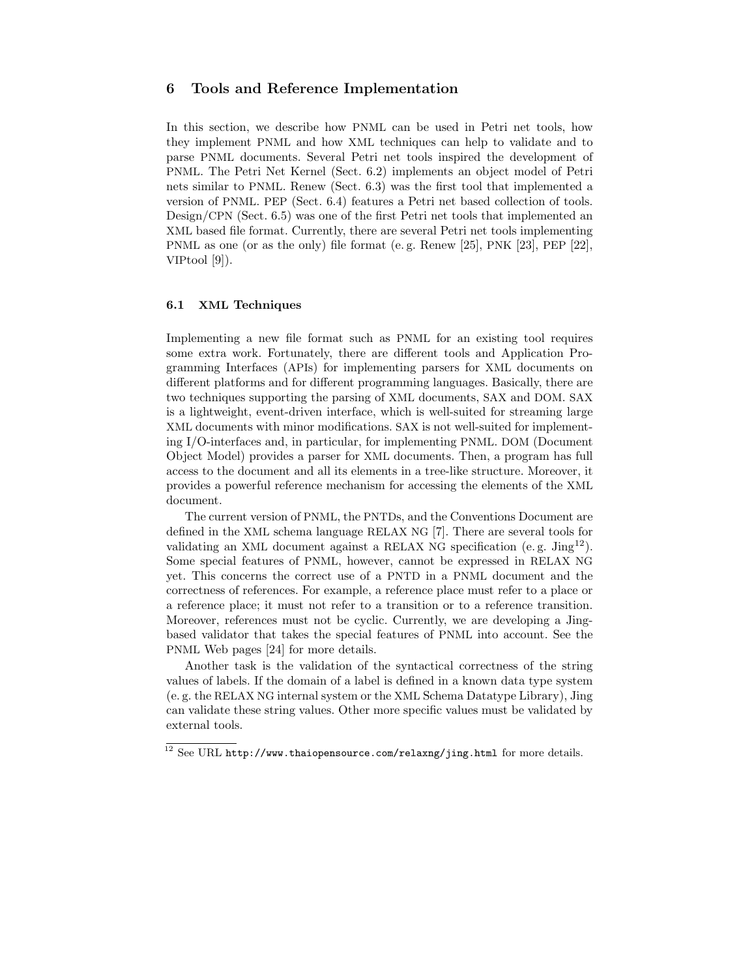# 6 Tools and Reference Implementation

In this section, we describe how PNML can be used in Petri net tools, how they implement PNML and how XML techniques can help to validate and to parse PNML documents. Several Petri net tools inspired the development of PNML. The Petri Net Kernel (Sect. 6.2) implements an object model of Petri nets similar to PNML. Renew (Sect. 6.3) was the first tool that implemented a version of PNML. PEP (Sect. 6.4) features a Petri net based collection of tools. Design/CPN (Sect. 6.5) was one of the first Petri net tools that implemented an XML based file format. Currently, there are several Petri net tools implementing PNML as one (or as the only) file format (e. g. Renew [25], PNK [23], PEP [22], VIPtool [9]).

## 6.1 XML Techniques

Implementing a new file format such as PNML for an existing tool requires some extra work. Fortunately, there are different tools and Application Programming Interfaces (APIs) for implementing parsers for XML documents on different platforms and for different programming languages. Basically, there are two techniques supporting the parsing of XML documents, SAX and DOM. SAX is a lightweight, event-driven interface, which is well-suited for streaming large XML documents with minor modifications. SAX is not well-suited for implementing I/O-interfaces and, in particular, for implementing PNML. DOM (Document Object Model) provides a parser for XML documents. Then, a program has full access to the document and all its elements in a tree-like structure. Moreover, it provides a powerful reference mechanism for accessing the elements of the XML document.

The current version of PNML, the PNTDs, and the Conventions Document are defined in the XML schema language RELAX NG [7]. There are several tools for validating an XML document against a RELAX NG specification (e.g.  $\text{Jing}^{12}$ ). Some special features of PNML, however, cannot be expressed in RELAX NG yet. This concerns the correct use of a PNTD in a PNML document and the correctness of references. For example, a reference place must refer to a place or a reference place; it must not refer to a transition or to a reference transition. Moreover, references must not be cyclic. Currently, we are developing a Jingbased validator that takes the special features of PNML into account. See the PNML Web pages [24] for more details.

Another task is the validation of the syntactical correctness of the string values of labels. If the domain of a label is defined in a known data type system (e. g. the RELAX NG internal system or the XML Schema Datatype Library), Jing can validate these string values. Other more specific values must be validated by external tools.

 $^{12}$  See URL http://www.thaiopensource.com/relaxng/jing.html for more details.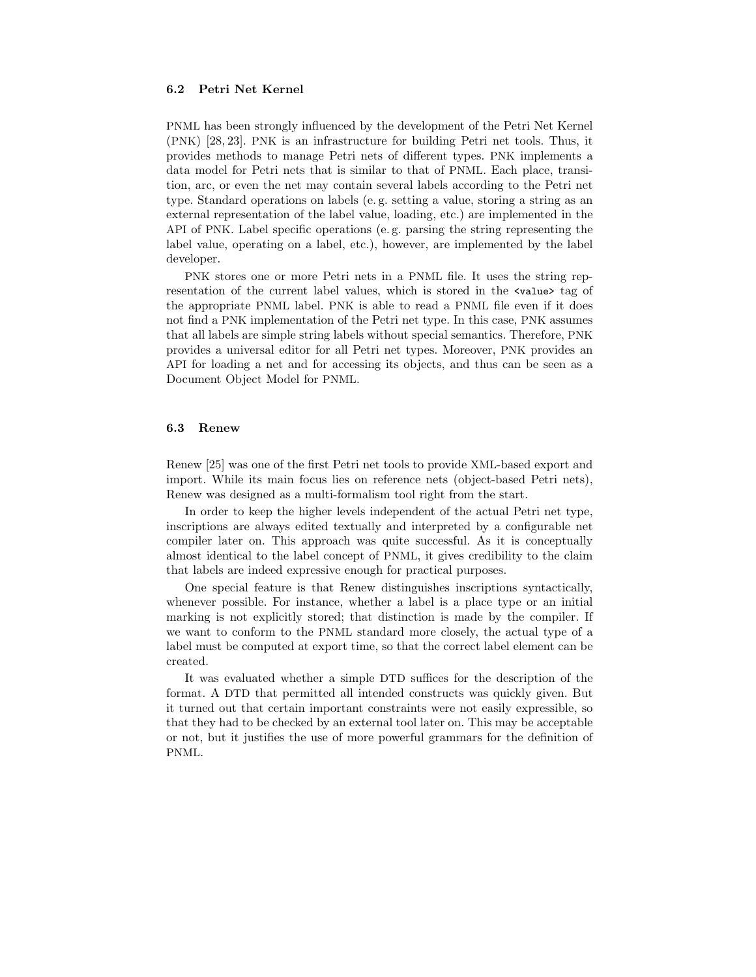## 6.2 Petri Net Kernel

PNML has been strongly influenced by the development of the Petri Net Kernel (PNK) [28, 23]. PNK is an infrastructure for building Petri net tools. Thus, it provides methods to manage Petri nets of different types. PNK implements a data model for Petri nets that is similar to that of PNML. Each place, transition, arc, or even the net may contain several labels according to the Petri net type. Standard operations on labels (e. g. setting a value, storing a string as an external representation of the label value, loading, etc.) are implemented in the API of PNK. Label specific operations (e. g. parsing the string representing the label value, operating on a label, etc.), however, are implemented by the label developer.

PNK stores one or more Petri nets in a PNML file. It uses the string representation of the current label values, which is stored in the <value> tag of the appropriate PNML label. PNK is able to read a PNML file even if it does not find a PNK implementation of the Petri net type. In this case, PNK assumes that all labels are simple string labels without special semantics. Therefore, PNK provides a universal editor for all Petri net types. Moreover, PNK provides an API for loading a net and for accessing its objects, and thus can be seen as a Document Object Model for PNML.

#### 6.3 Renew

Renew [25] was one of the first Petri net tools to provide XML-based export and import. While its main focus lies on reference nets (object-based Petri nets), Renew was designed as a multi-formalism tool right from the start.

In order to keep the higher levels independent of the actual Petri net type, inscriptions are always edited textually and interpreted by a configurable net compiler later on. This approach was quite successful. As it is conceptually almost identical to the label concept of PNML, it gives credibility to the claim that labels are indeed expressive enough for practical purposes.

One special feature is that Renew distinguishes inscriptions syntactically, whenever possible. For instance, whether a label is a place type or an initial marking is not explicitly stored; that distinction is made by the compiler. If we want to conform to the PNML standard more closely, the actual type of a label must be computed at export time, so that the correct label element can be created.

It was evaluated whether a simple DTD suffices for the description of the format. A DTD that permitted all intended constructs was quickly given. But it turned out that certain important constraints were not easily expressible, so that they had to be checked by an external tool later on. This may be acceptable or not, but it justifies the use of more powerful grammars for the definition of PNML.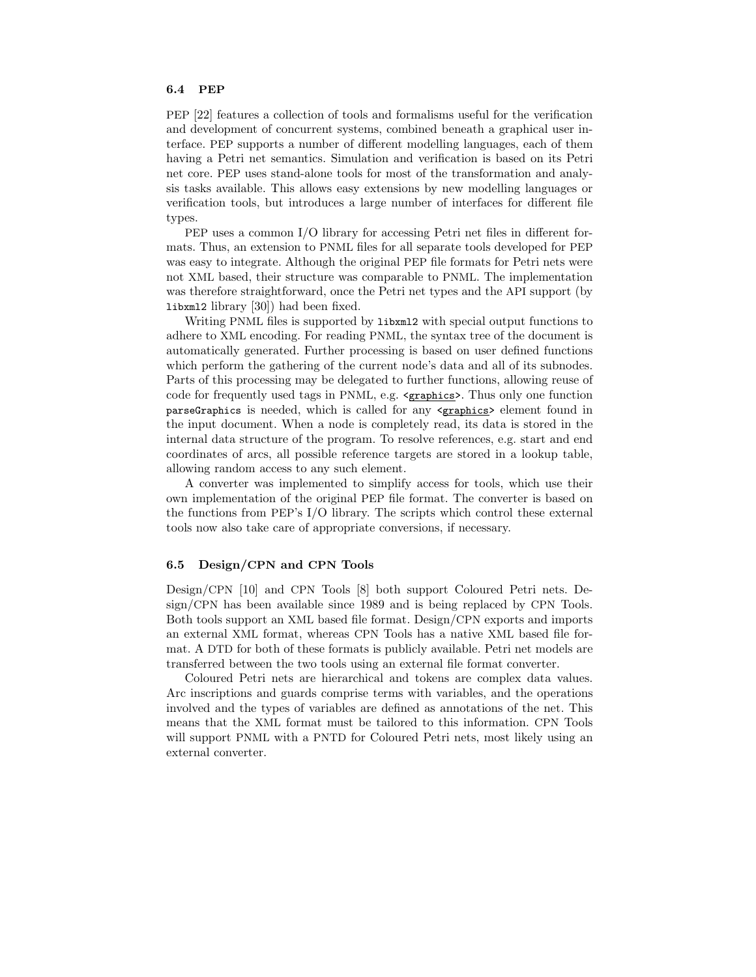#### 6.4 PEP

PEP [22] features a collection of tools and formalisms useful for the verification and development of concurrent systems, combined beneath a graphical user interface. PEP supports a number of different modelling languages, each of them having a Petri net semantics. Simulation and verification is based on its Petri net core. PEP uses stand-alone tools for most of the transformation and analysis tasks available. This allows easy extensions by new modelling languages or verification tools, but introduces a large number of interfaces for different file types.

PEP uses a common I/O library for accessing Petri net files in different formats. Thus, an extension to PNML files for all separate tools developed for PEP was easy to integrate. Although the original PEP file formats for Petri nets were not XML based, their structure was comparable to PNML. The implementation was therefore straightforward, once the Petri net types and the API support (by libxml2 library [30]) had been fixed.

Writing PNML files is supported by  $\mathbf{libxm12}$  with special output functions to adhere to XML encoding. For reading PNML, the syntax tree of the document is automatically generated. Further processing is based on user defined functions which perform the gathering of the current node's data and all of its subnodes. Parts of this processing may be delegated to further functions, allowing reuse of code for frequently used tags in PNML, e.g.  $\langle$ graphics</sub>>. Thus only one function parseGraphics is needed, which is called for any <graphics> element found in the input document. When a node is completely read, its data is stored in the internal data structure of the program. To resolve references, e.g. start and end coordinates of arcs, all possible reference targets are stored in a lookup table, allowing random access to any such element.

A converter was implemented to simplify access for tools, which use their own implementation of the original PEP file format. The converter is based on the functions from PEP's I/O library. The scripts which control these external tools now also take care of appropriate conversions, if necessary.

#### 6.5 Design/CPN and CPN Tools

Design/CPN [10] and CPN Tools [8] both support Coloured Petri nets. Design/CPN has been available since 1989 and is being replaced by CPN Tools. Both tools support an XML based file format. Design/CPN exports and imports an external XML format, whereas CPN Tools has a native XML based file format. A DTD for both of these formats is publicly available. Petri net models are transferred between the two tools using an external file format converter.

Coloured Petri nets are hierarchical and tokens are complex data values. Arc inscriptions and guards comprise terms with variables, and the operations involved and the types of variables are defined as annotations of the net. This means that the XML format must be tailored to this information. CPN Tools will support PNML with a PNTD for Coloured Petri nets, most likely using an external converter.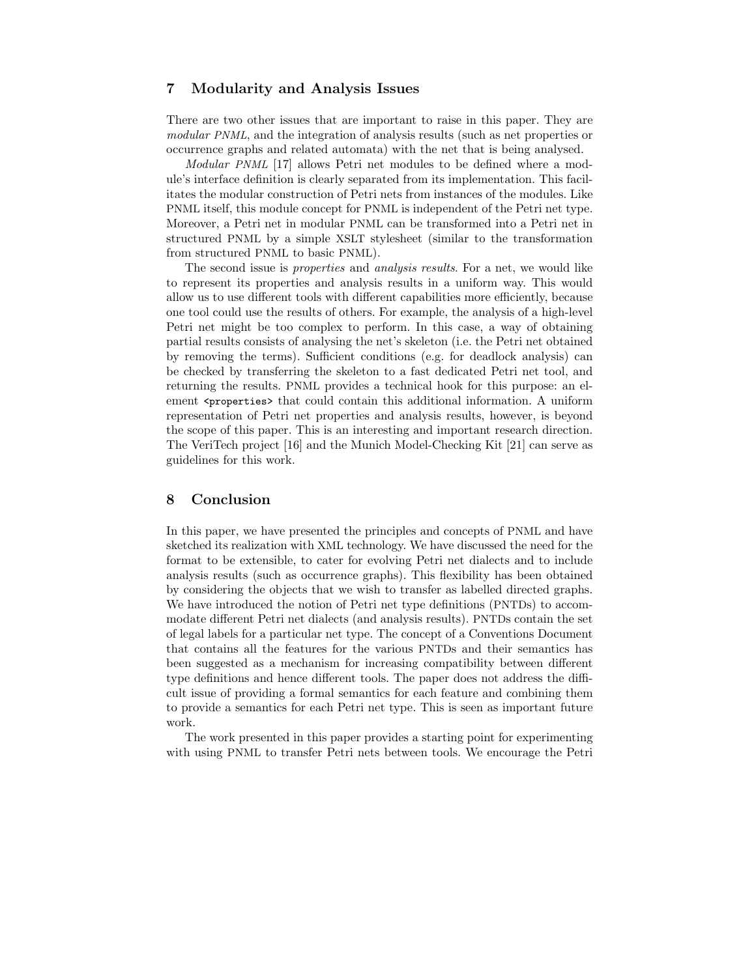# 7 Modularity and Analysis Issues

There are two other issues that are important to raise in this paper. They are modular PNML, and the integration of analysis results (such as net properties or occurrence graphs and related automata) with the net that is being analysed.

Modular PNML [17] allows Petri net modules to be defined where a module's interface definition is clearly separated from its implementation. This facilitates the modular construction of Petri nets from instances of the modules. Like PNML itself, this module concept for PNML is independent of the Petri net type. Moreover, a Petri net in modular PNML can be transformed into a Petri net in structured PNML by a simple XSLT stylesheet (similar to the transformation from structured PNML to basic PNML).

The second issue is properties and analysis results. For a net, we would like to represent its properties and analysis results in a uniform way. This would allow us to use different tools with different capabilities more efficiently, because one tool could use the results of others. For example, the analysis of a high-level Petri net might be too complex to perform. In this case, a way of obtaining partial results consists of analysing the net's skeleton (i.e. the Petri net obtained by removing the terms). Sufficient conditions (e.g. for deadlock analysis) can be checked by transferring the skeleton to a fast dedicated Petri net tool, and returning the results. PNML provides a technical hook for this purpose: an element  $\epsilon$  properties that could contain this additional information. A uniform representation of Petri net properties and analysis results, however, is beyond the scope of this paper. This is an interesting and important research direction. The VeriTech project [16] and the Munich Model-Checking Kit [21] can serve as guidelines for this work.

# 8 Conclusion

In this paper, we have presented the principles and concepts of PNML and have sketched its realization with XML technology. We have discussed the need for the format to be extensible, to cater for evolving Petri net dialects and to include analysis results (such as occurrence graphs). This flexibility has been obtained by considering the objects that we wish to transfer as labelled directed graphs. We have introduced the notion of Petri net type definitions (PNTDs) to accommodate different Petri net dialects (and analysis results). PNTDs contain the set of legal labels for a particular net type. The concept of a Conventions Document that contains all the features for the various PNTDs and their semantics has been suggested as a mechanism for increasing compatibility between different type definitions and hence different tools. The paper does not address the difficult issue of providing a formal semantics for each feature and combining them to provide a semantics for each Petri net type. This is seen as important future work.

The work presented in this paper provides a starting point for experimenting with using PNML to transfer Petri nets between tools. We encourage the Petri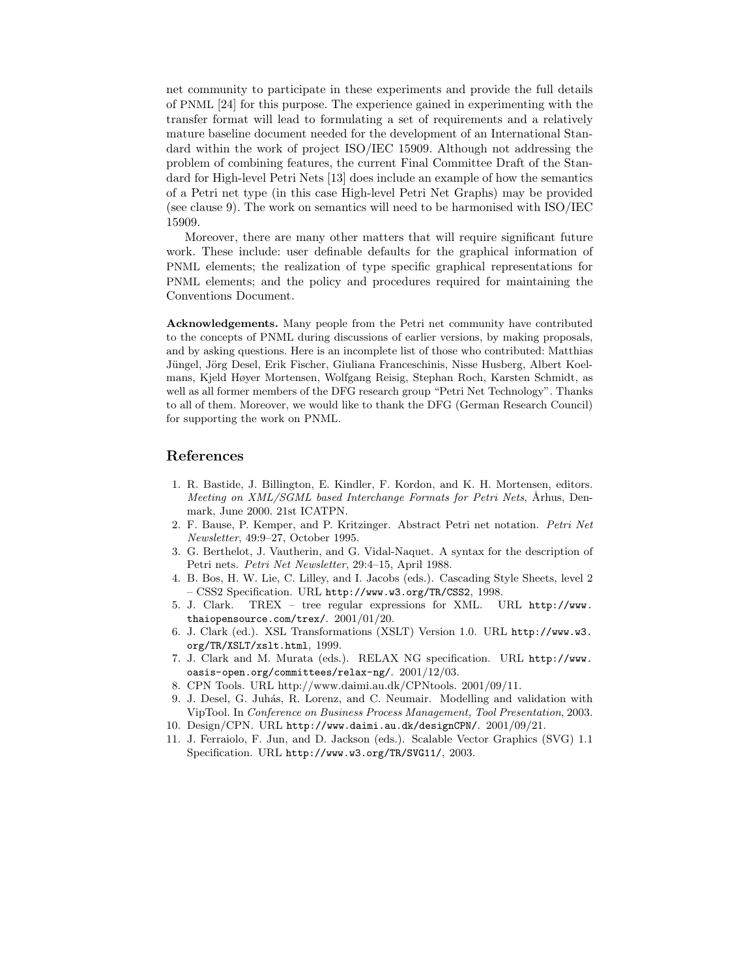net community to participate in these experiments and provide the full details of PNML [24] for this purpose. The experience gained in experimenting with the transfer format will lead to formulating a set of requirements and a relatively mature baseline document needed for the development of an International Standard within the work of project ISO/IEC 15909. Although not addressing the problem of combining features, the current Final Committee Draft of the Standard for High-level Petri Nets [13] does include an example of how the semantics of a Petri net type (in this case High-level Petri Net Graphs) may be provided (see clause 9). The work on semantics will need to be harmonised with ISO/IEC 15909.

Moreover, there are many other matters that will require significant future work. These include: user definable defaults for the graphical information of PNML elements; the realization of type specific graphical representations for PNML elements; and the policy and procedures required for maintaining the Conventions Document.

Acknowledgements. Many people from the Petri net community have contributed to the concepts of PNML during discussions of earlier versions, by making proposals, and by asking questions. Here is an incomplete list of those who contributed: Matthias Jüngel, Jörg Desel, Erik Fischer, Giuliana Franceschinis, Nisse Husberg, Albert Koelmans, Kjeld Høyer Mortensen, Wolfgang Reisig, Stephan Roch, Karsten Schmidt, as well as all former members of the DFG research group "Petri Net Technology". Thanks to all of them. Moreover, we would like to thank the DFG (German Research Council) for supporting the work on PNML.

## References

- 1. R. Bastide, J. Billington, E. Kindler, F. Kordon, and K. H. Mortensen, editors. Meeting on XML/SGML based Interchange Formats for Petri Nets, Arhus, Denmark, June 2000. 21st ICATPN.
- 2. F. Bause, P. Kemper, and P. Kritzinger. Abstract Petri net notation. Petri Net Newsletter, 49:9–27, October 1995.
- 3. G. Berthelot, J. Vautherin, and G. Vidal-Naquet. A syntax for the description of Petri nets. Petri Net Newsletter, 29:4–15, April 1988.
- 4. B. Bos, H. W. Lie, C. Lilley, and I. Jacobs (eds.). Cascading Style Sheets, level 2 – CSS2 Specification. URL http://www.w3.org/TR/CSS2, 1998.
- 5. J. Clark. TREX tree regular expressions for XML. URL http://www. thaiopensource.com/trex/. 2001/01/20.
- 6. J. Clark (ed.). XSL Transformations (XSLT) Version 1.0. URL http://www.w3. org/TR/XSLT/xslt.html, 1999.
- 7. J. Clark and M. Murata (eds.). RELAX NG specification. URL http://www. oasis-open.org/committees/relax-ng/. 2001/12/03.
- 8. CPN Tools. URL http://www.daimi.au.dk/CPNtools. 2001/09/11.
- 9. J. Desel, G. Juh´as, R. Lorenz, and C. Neumair. Modelling and validation with VipTool. In Conference on Business Process Management, Tool Presentation, 2003. 10. Design/CPN. URL http://www.daimi.au.dk/designCPN/. 2001/09/21.
- 11. J. Ferraiolo, F. Jun, and D. Jackson (eds.). Scalable Vector Graphics (SVG) 1.1 Specification. URL http://www.w3.org/TR/SVG11/, 2003.